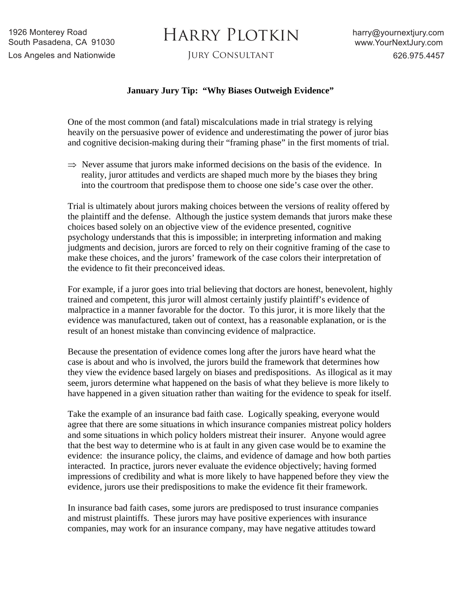## HARRY PLOTKIN

## **January Jury Tip: "Why Biases Outweigh Evidence"**

One of the most common (and fatal) miscalculations made in trial strategy is relying heavily on the persuasive power of evidence and underestimating the power of juror bias and cognitive decision-making during their "framing phase" in the first moments of trial.

 $\Rightarrow$  Never assume that jurors make informed decisions on the basis of the evidence. In reality, juror attitudes and verdicts are shaped much more by the biases they bring into the courtroom that predispose them to choose one side's case over the other.

Trial is ultimately about jurors making choices between the versions of reality offered by the plaintiff and the defense. Although the justice system demands that jurors make these choices based solely on an objective view of the evidence presented, cognitive psychology understands that this is impossible; in interpreting information and making judgments and decision, jurors are forced to rely on their cognitive framing of the case to make these choices, and the jurors' framework of the case colors their interpretation of the evidence to fit their preconceived ideas.

For example, if a juror goes into trial believing that doctors are honest, benevolent, highly trained and competent, this juror will almost certainly justify plaintiff's evidence of malpractice in a manner favorable for the doctor. To this juror, it is more likely that the evidence was manufactured, taken out of context, has a reasonable explanation, or is the result of an honest mistake than convincing evidence of malpractice.

Because the presentation of evidence comes long after the jurors have heard what the case is about and who is involved, the jurors build the framework that determines how they view the evidence based largely on biases and predispositions. As illogical as it may seem, jurors determine what happened on the basis of what they believe is more likely to have happened in a given situation rather than waiting for the evidence to speak for itself.

Take the example of an insurance bad faith case. Logically speaking, everyone would agree that there are some situations in which insurance companies mistreat policy holders and some situations in which policy holders mistreat their insurer. Anyone would agree that the best way to determine who is at fault in any given case would be to examine the evidence: the insurance policy, the claims, and evidence of damage and how both parties interacted. In practice, jurors never evaluate the evidence objectively; having formed impressions of credibility and what is more likely to have happened before they view the evidence, jurors use their predispositions to make the evidence fit their framework.

In insurance bad faith cases, some jurors are predisposed to trust insurance companies and mistrust plaintiffs. These jurors may have positive experiences with insurance companies, may work for an insurance company, may have negative attitudes toward